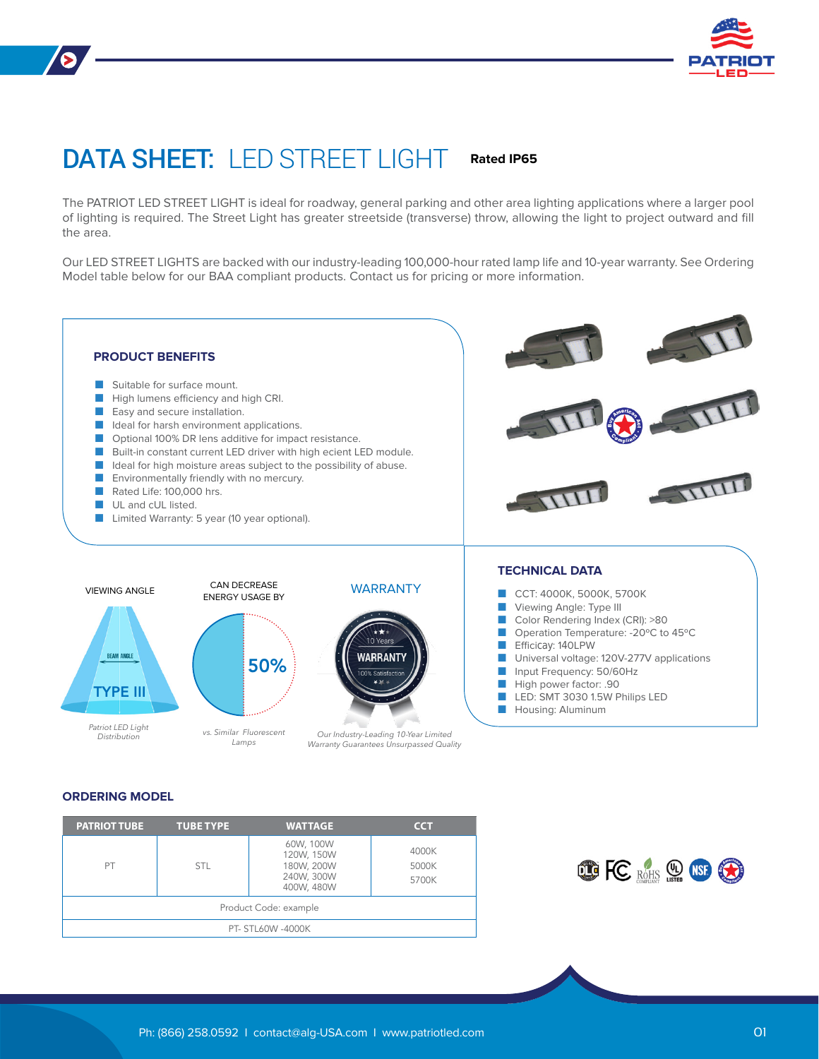

## DATA SHEET: LED STREET LIGHT **Rated IP65**

The PATRIOT LED STREET LIGHT is ideal for roadway, general parking and other area lighting applications where a larger pool of lighting is required. The Street Light has greater streetside (transverse) throw, allowing the light to project outward and fill the area.

Our LED STREET LIGHTS are backed with our industry-leading 100,000-hour rated lamp life and 10-year warranty. See Ordering Model table below for our BAA compliant products. Contact us for pricing or more information.



#### **ORDERING MODEL**

| <b>PATRIOT TUBE</b>   | <b>TUBE TYPE</b> | <b>WATTAGE</b>                                                    | <b>CCT</b>              |  |  |  |
|-----------------------|------------------|-------------------------------------------------------------------|-------------------------|--|--|--|
| PT                    | <b>STL</b>       | 60W, 100W<br>120W, 150W<br>180W, 200W<br>240W, 300W<br>400W, 480W | 4000K<br>5000K<br>5700K |  |  |  |
| Product Code: example |                  |                                                                   |                         |  |  |  |
| PT- STL60W -4000K     |                  |                                                                   |                         |  |  |  |